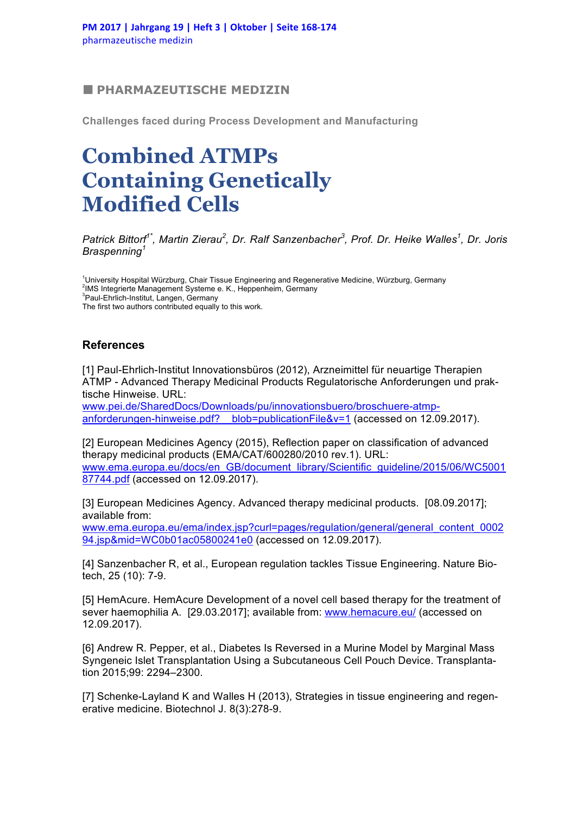## ■ **PHARMAZEUTISCHE MEDIZIN**

**Challenges faced during Process Development and Manufacturing**

## **Combined ATMPs Containing Genetically Modified Cells**

*Patrick Bittorf1\*, Martin Zierau2 , Dr. Ralf Sanzenbacher<sup>3</sup> , Prof. Dr. Heike Walles<sup>1</sup> , Dr. Joris Braspenning<sup>1</sup>*

<sup>1</sup>University Hospital Würzburg, Chair Tissue Engineering and Regenerative Medicine, Würzburg, Germany<br><sup>2</sup>MS Integrierte Managament Systems a. K. Hannapheim, Cermany <sup>2</sup>IMS Integrierte Management Systeme e. K., Heppenheim, Germany 3 Paul-Ehrlich-Institut, Langen, Germany The first two authors contributed equally to this work.

## **References**

[1] Paul-Ehrlich-Institut Innovationsbüros (2012), Arzneimittel für neuartige Therapien ATMP - Advanced Therapy Medicinal Products Regulatorische Anforderungen und praktische Hinweise. URL:

www.pei.de/SharedDocs/Downloads/pu/innovationsbuero/broschuere-atmpanforderungen-hinweise.pdf? blob=publicationFile&v=1 (accessed on 12.09.2017).

[2] European Medicines Agency (2015), Reflection paper on classification of advanced therapy medicinal products (EMA/CAT/600280/2010 rev.1). URL: www.ema.europa.eu/docs/en\_GB/document\_library/Scientific\_guideline/2015/06/WC5001 87744.pdf (accessed on 12.09.2017).

[3] European Medicines Agency. Advanced therapy medicinal products. [08.09.2017]; available from:

www.ema.europa.eu/ema/index.jsp?curl=pages/regulation/general/general\_content\_0002 94.jsp&mid=WC0b01ac05800241e0 (accessed on 12.09.2017).

[4] Sanzenbacher R, et al., European regulation tackles Tissue Engineering. Nature Biotech, 25 (10): 7-9.

[5] HemAcure. HemAcure Development of a novel cell based therapy for the treatment of sever haemophilia A. [29.03.2017]; available from: www.hemacure.eu/ (accessed on 12.09.2017).

[6] Andrew R. Pepper, et al., Diabetes Is Reversed in a Murine Model by Marginal Mass Syngeneic Islet Transplantation Using a Subcutaneous Cell Pouch Device. Transplantation 2015;99: 2294–2300.

[7] Schenke-Layland K and Walles H (2013), Strategies in tissue engineering and regenerative medicine. Biotechnol J. 8(3):278-9.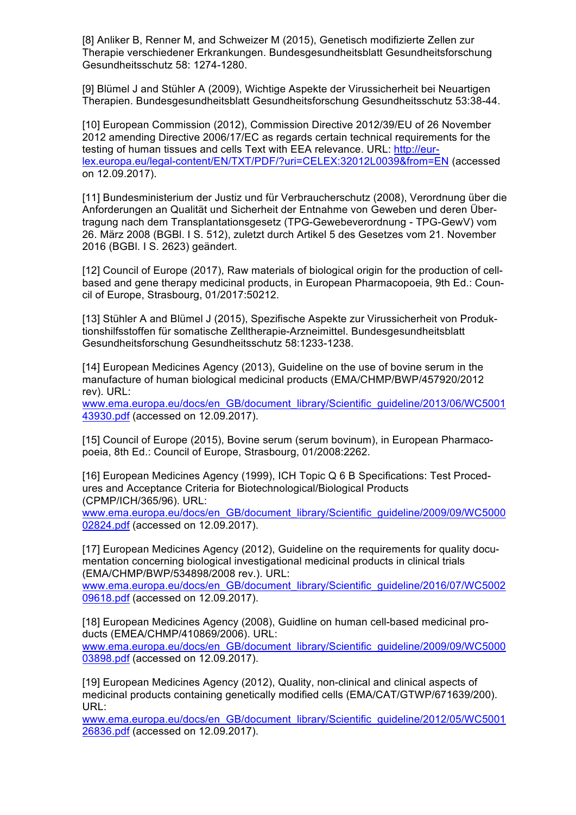[8] Anliker B, Renner M, and Schweizer M (2015), Genetisch modifizierte Zellen zur Therapie verschiedener Erkrankungen. Bundesgesundheitsblatt Gesundheitsforschung Gesundheitsschutz 58: 1274-1280.

[9] Blümel J and Stühler A (2009), Wichtige Aspekte der Virussicherheit bei Neuartigen Therapien. Bundesgesundheitsblatt Gesundheitsforschung Gesundheitsschutz 53:38-44.

[10] European Commission (2012), Commission Directive 2012/39/EU of 26 November 2012 amending Directive 2006/17/EC as regards certain technical requirements for the testing of human tissues and cells Text with EEA relevance. URL: http://eurlex.europa.eu/legal-content/EN/TXT/PDF/?uri=CELEX:32012L0039&from=EN (accessed on 12.09.2017).

[11] Bundesministerium der Justiz und für Verbraucherschutz (2008), Verordnung über die Anforderungen an Qualität und Sicherheit der Entnahme von Geweben und deren Übertragung nach dem Transplantationsgesetz (TPG-Gewebeverordnung - TPG-GewV) vom 26. März 2008 (BGBl. I S. 512), zuletzt durch Artikel 5 des Gesetzes vom 21. November 2016 (BGBl. I S. 2623) geändert.

[12] Council of Europe (2017), Raw materials of biological origin for the production of cellbased and gene therapy medicinal products, in European Pharmacopoeia, 9th Ed.: Council of Europe, Strasbourg, 01/2017:50212.

[13] Stühler A and Blümel J (2015), Spezifische Aspekte zur Virussicherheit von Produktionshilfsstoffen für somatische Zelltherapie-Arzneimittel. Bundesgesundheitsblatt Gesundheitsforschung Gesundheitsschutz 58:1233-1238.

[14] European Medicines Agency (2013), Guideline on the use of bovine serum in the manufacture of human biological medicinal products (EMA/CHMP/BWP/457920/2012 rev). URL:

www.ema.europa.eu/docs/en\_GB/document\_library/Scientific\_guideline/2013/06/WC5001 43930.pdf (accessed on 12.09.2017).

[15] Council of Europe (2015), Bovine serum (serum bovinum), in European Pharmacopoeia, 8th Ed.: Council of Europe, Strasbourg, 01/2008:2262.

[16] European Medicines Agency (1999), ICH Topic Q 6 B Specifications: Test Procedures and Acceptance Criteria for Biotechnological/Biological Products (CPMP/ICH/365/96). URL:

www.ema.europa.eu/docs/en\_GB/document\_library/Scientific\_guideline/2009/09/WC5000 02824.pdf (accessed on 12.09.2017).

[17] European Medicines Agency (2012), Guideline on the requirements for quality documentation concerning biological investigational medicinal products in clinical trials (EMA/CHMP/BWP/534898/2008 rev.). URL:

www.ema.europa.eu/docs/en\_GB/document\_library/Scientific\_guideline/2016/07/WC5002 09618.pdf (accessed on 12.09.2017).

[18] European Medicines Agency (2008), Guidline on human cell-based medicinal products (EMEA/CHMP/410869/2006). URL:

www.ema.europa.eu/docs/en\_GB/document\_library/Scientific\_guideline/2009/09/WC5000 03898.pdf (accessed on 12.09.2017).

[19] European Medicines Agency (2012), Quality, non-clinical and clinical aspects of medicinal products containing genetically modified cells (EMA/CAT/GTWP/671639/200). URL:

www.ema.europa.eu/docs/en\_GB/document\_library/Scientific\_guideline/2012/05/WC5001 26836.pdf (accessed on 12.09.2017).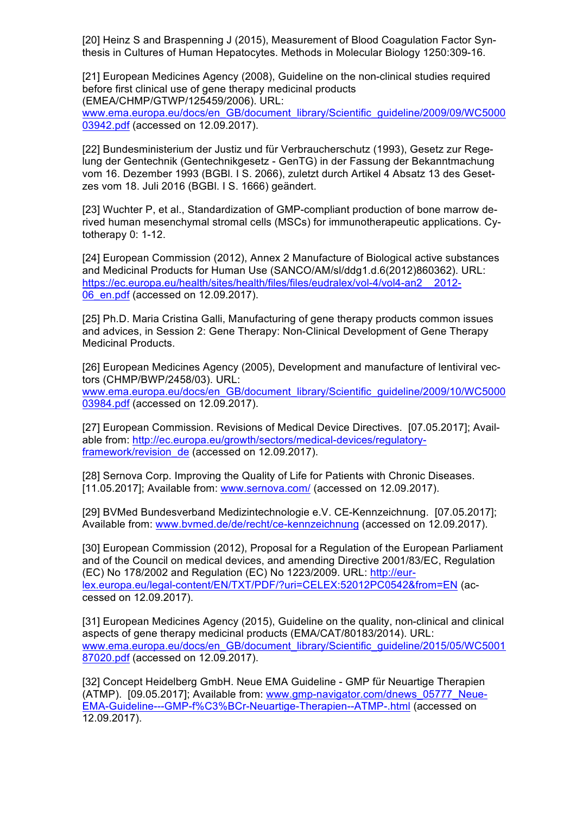[20] Heinz S and Braspenning J (2015), Measurement of Blood Coagulation Factor Synthesis in Cultures of Human Hepatocytes. Methods in Molecular Biology 1250:309-16.

[21] European Medicines Agency (2008), Guideline on the non-clinical studies required before first clinical use of gene therapy medicinal products (EMEA/CHMP/GTWP/125459/2006). URL:

www.ema.europa.eu/docs/en\_GB/document\_library/Scientific\_guideline/2009/09/WC5000 03942.pdf (accessed on 12.09.2017).

[22] Bundesministerium der Justiz und für Verbraucherschutz (1993), Gesetz zur Regelung der Gentechnik (Gentechnikgesetz - GenTG) in der Fassung der Bekanntmachung vom 16. Dezember 1993 (BGBl. I S. 2066), zuletzt durch Artikel 4 Absatz 13 des Gesetzes vom 18. Juli 2016 (BGBl. I S. 1666) geändert.

[23] Wuchter P, et al., Standardization of GMP-compliant production of bone marrow derived human mesenchymal stromal cells (MSCs) for immunotherapeutic applications. Cytotherapy 0: 1-12.

[24] European Commission (2012), Annex 2 Manufacture of Biological active substances and Medicinal Products for Human Use (SANCO/AM/sl/ddg1.d.6(2012)860362). URL: https://ec.europa.eu/health/sites/health/files/files/eudralex/vol-4/vol4-an2 2012-06\_en.pdf (accessed on 12.09.2017).

[25] Ph.D. Maria Cristina Galli, Manufacturing of gene therapy products common issues and advices, in Session 2: Gene Therapy: Non-Clinical Development of Gene Therapy Medicinal Products.

[26] European Medicines Agency (2005), Development and manufacture of lentiviral vectors (CHMP/BWP/2458/03). URL: www.ema.europa.eu/docs/en\_GB/document\_library/Scientific\_guideline/2009/10/WC5000 03984.pdf (accessed on 12.09.2017).

[27] European Commission. Revisions of Medical Device Directives. [07.05.2017]; Available from: http://ec.europa.eu/growth/sectors/medical-devices/regulatoryframework/revision\_de (accessed on 12.09.2017).

[28] Sernova Corp. Improving the Quality of Life for Patients with Chronic Diseases. [11.05.2017]; Available from: www.sernova.com/ (accessed on 12.09.2017).

[29] BVMed Bundesverband Medizintechnologie e.V. CE-Kennzeichnung. [07.05.2017]; Available from: www.bvmed.de/de/recht/ce-kennzeichnung (accessed on 12.09.2017).

[30] European Commission (2012), Proposal for a Regulation of the European Parliament and of the Council on medical devices, and amending Directive 2001/83/EC, Regulation (EC) No 178/2002 and Regulation (EC) No 1223/2009. URL: http://eurlex.europa.eu/legal-content/EN/TXT/PDF/?uri=CELEX:52012PC0542&from=EN (accessed on 12.09.2017).

[31] European Medicines Agency (2015), Guideline on the quality, non-clinical and clinical aspects of gene therapy medicinal products (EMA/CAT/80183/2014). URL: www.ema.europa.eu/docs/en\_GB/document\_library/Scientific\_guideline/2015/05/WC5001 87020.pdf (accessed on 12.09.2017).

[32] Concept Heidelberg GmbH. Neue EMA Guideline - GMP für Neuartige Therapien (ATMP). [09.05.2017]; Available from: www.gmp-navigator.com/dnews\_05777\_Neue-EMA-Guideline---GMP-f%C3%BCr-Neuartige-Therapien--ATMP-.html (accessed on 12.09.2017).